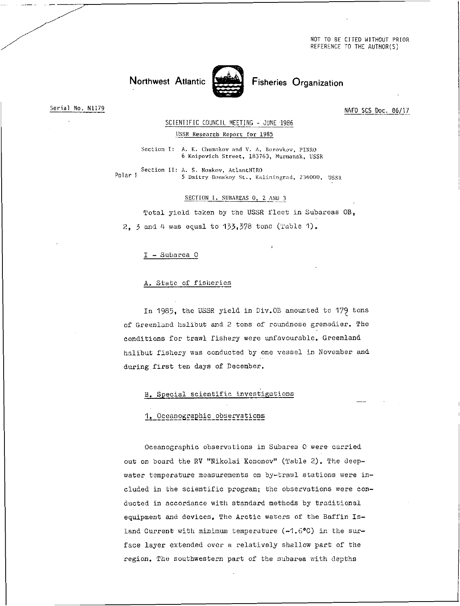NOT TO BE CITED WITHOUT PRIOR REFERENCE TO THE AUTHOR(S)



Northwest Atlantic States Fisheries Organization

Serial No. N1179

NAFO SCS Doc. 86/17

SCIENTIFIC COUNCIL MEETING - JUNE 1986

## USSR Research Report for 1985

Section I: A. K. Chumakov and V. A. Borovkov, PINRO 6 Knipovich Street, 183763, Murmansk, USSR

Section II: A. S. Noskov, AtlantNIRO Polar {  $\frac{1}{5}$  Dmitry Donskoy St., Kaliningrad, 236000, USSR

SECTION I. SUBAREAS 0, 2 AND 3

Total yield taken by the USSR fleet in Subareas OB, 2, 3 and 4 was equal to 133,378 tons (Table 1).

## I - Subarea 0

## A. State of fisheries

In 1985, the USSR yield in Div.OE amounted to 179 tons of Greenland halibut and 2 tons of roundnose grenadier. The conditions for trawl fishery were unfavourable. Greenland halibut fishery was conducted by one vessel in November and during first ten days of December.

## B. Special scientific investigations

## 1. Oceanographic observations

Oceanographic observations in Subarea 0 were carried out on board the RV "Nikolai Kononov" (Table 2). The deepwater temperature measurements on by-trawl stations were included in the scientific program; the observations were conducted in accordance with standard methods by traditional equipment and devices. The Arctic waters of the Baffin Island Current with minimum temperature  $(-1.6^{\circ}C)$  in the surface layer extended over a relatively shallow part of the region. The southwestern part of the subarea with depths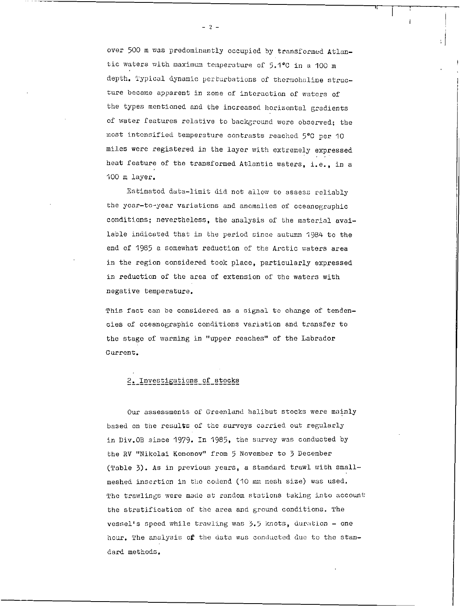over 500 m was predominantly occupied by transformed Atlantic waters with maximum temperature of 5.1°C in a 100 m depth. Typical dynamic perturbations of thermohaline structure became apparent in zone of interaction of waters of the types mentioned and the increased horizontal gradients of water features relative to background were observed; the most intensified temperature contrasts reached 5°C per 10 miles were registered in the layer with extremely expressed heat feature of the transformed Atlantic waters, i.e., in a 100 m layer.

Estimated data-limit did not allow to assess reliably the year-to-year variations and anomalies of oceanographic conditions; nevertheless, the analysis of the material available indicated that in the period since autumn 1984 to the end of 1985 a somewhat reduction of the Arctic waters area in the region considered took place, particularly expressed in reduction of the area of extension of the waters with negative temperature.

This fact can be considered as a signal to change of tendencies of oceanographic conditions variation and transfer to the stage of warming in "upper reaches" of the Labrador Current.

## 2. Investigations of stocks

Our assessments of Greenland halibut stocks were mainly based on the results of the surveys carried out regularly in Div.OB since 1979. In 1985, the survey was conducted by the RV "Nikolai Kononov" from 5 November to 3 December (Table 3). As in previous years, a standard trawl with smallmeshed insertion in the codend (10 mm mesh size) was used. The trawlings were made at random stations taking into account the stratification of the area and ground conditions. The vessel's speed while trawling was 3.5 knots, duration - one hour. The analysis of the data was conducted due to the standard methods.

 $- 2 -$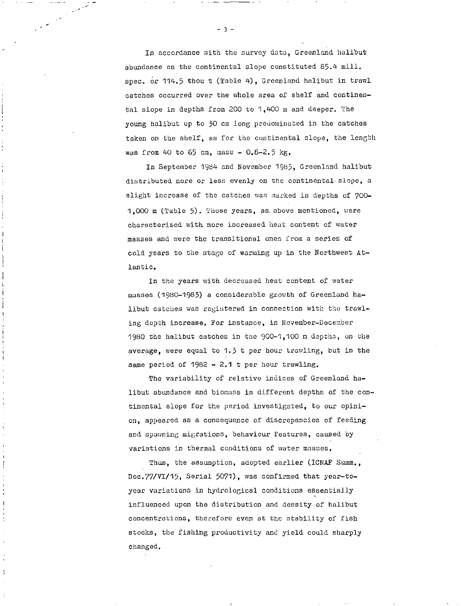In accordance with the survey data, Greenland halibut abundance on the continental slope constituted 85.4 mill. spec, or 114.5 thou t (Table 4), Greenland halibut in trawl catches occurred over the whole area of shelf and continental slope in depths from 200 to 1,400 m and deeper. The young halibut up to 30 cm long predominated in the catches taken on the shelf, as for the continental slope, the length was from 40 to 65 cm, mass  $-0.8-2.5$  kg.

In September 1984 and November 1985, Greenland halibut distributed more or less evenly on the continental slope, a slight increase of the catches was marked in depths of 700-1,000 m (Table 5). Those years, as. above mentioned, were characterized with more increased heat content of water masses and were the transitional ones from a series of cold years to the stage of warming up in the Northwest Atlantic.

In the years with decreased heat content of water masses (1980-1983) a considerable growth of Greenland halibut catches was registered in connection with the trawling depth increase. For instance, in November-December 1980 the halibut catches in the 900-1,100 m depths, on the average, were equal to 1.3 t per hour trawling, but in the same period of 1982 - 2.1 t per hour trawling.

The variability of relative indices of Greenland halibut abundance and biomass in different depths of the continental slope for the period investigated, to our opinion, appeared as a consequence of discrepancies of feeding and spawning migrations, behaviour features, caused by variations in thermal conditions of water masses,

Thus, the assumption, adopted earlier (ICNAF Summ., Doc.77/VI/15, Serial 5071), was confirmed that year-toyear variations in hydrological conditions essentially influenced upon the distribution and density of halibut concentrations, therefore even at the stability of fish stocks, the fishing productivity and yield could sharply changed.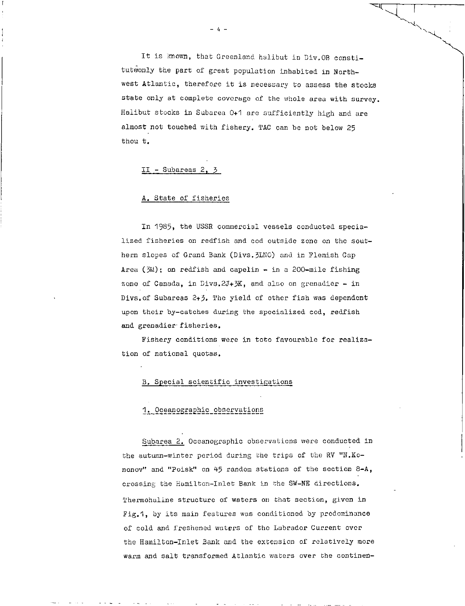It is known, that Greenland halibut in Div.OB constituteonly the part of great population inhabited in Northwest Atlantic, therefore it is necessary to assess the stocks state only at complete coverage of the whole area with survey. Halibut stocks in Subarea 0+1 are sufficiently high and are almost not touched with fishery. TAC can be not below 25 thou t.

## II - Subareas 2, 3

## A. State of fisheries

In 1985, the USSR commercial vessels conducted specialized fisheries on redfish and cod outside zone on the southern slopes of Grand Bank (Divs.3IN0) and in Flemish Cap Area ( $3M$ ); on redfish and capelin - in a 200-mile fishing zone of Canada, in Divs. 2J+3K, and also on grenadier - in Divs.of Subareas 2+3. The yield of other fish was dependent upon their by-catches during the specialized cod, redfish and grenadier fisheries.

Fishery conditions were in toto favourable for realization of national quotas.

#### B. Special scientific investigations

## 1. Oceanographic observations

Subarea 2. Oceanographic observations were conducted in the autumn-winter period during the trips of the RV "N.Kononov" and "Poisk" on 45 random stations of the section 8-A, crossing the Hamilton-Inlet Bank in the SW-NE directions. Thermohaline structure of waters on that section, given in Fig.1, by its main features was conditioned by predominance of cold and freshened waters of the Labrador Current over the Hamilton-Inlet Bank and the extension of relatively more warm and salt transformed Atlantic waters over the continen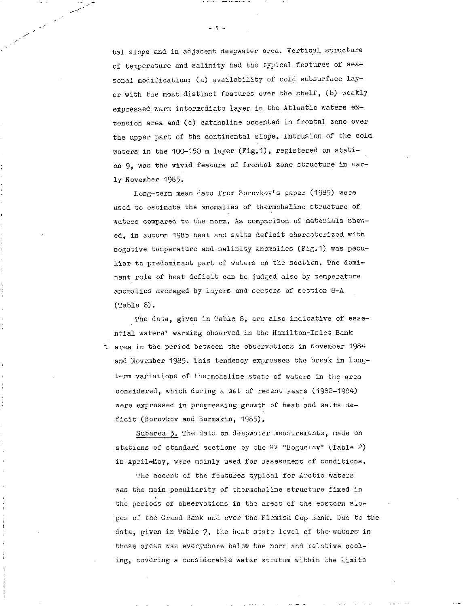tal slope and in adjacent deepwater area. Vertical structure of temperature and salinity had the typical features of seasonal modification: (a) availability of cold subsurface layer with the most distinct features over the shelf, (b) weakly expressed warm intermediate layer in the Atlantic waters extension area and (c) catahaline accented in frontal zone over the upper part of the continental slope. Intrusion of the cold waters in the 100-150 m layer (Fig.1), registered on station 9, was the vivid feature of frontal zone structure in early November 1985.

Long-term mean data from Borovkov's paper (1985) were used to estimate the anomalies of thermohaline structure of waters compared to the norm. As comparison of materials showed, in autumn 1985 heat and salts deficit characterized with negative temperature and salinity anomalies (Fig.1) was peculiar to predominant part of waters on the section. The dominant role of heat deficit can be judged also by temperature anomalies averaged by layers and sectors of section 8-A (Table 6).

The data, given in Table 6, are also indicative of essential waters' warming observed in the Hamilton-Inlet Bank ". area in the period between the observations in November 1984 and November 1985. This tendency expresses the break in longterm variations of thermohaline state of waters in the area considered, which during a set of recent years (1982-1984) were expressed in progressing growth of heat and salts deficit (Borovkov and Burmakin, 1985).

Subarea 3. The data on deepwater measurements, made on stations of standard sections by the RV "Bogusiav" (Table 2) in April-May, were mainly used for assessment of conditions.

The accent of the features typical for Arctic waters was the main peculiarity of thermohaline structure fixed in the periods of observations in the areas of the eastern slopes of the Grand Bank and over the Flemish Cap Bank. Due to the data, given in Table 7, the heat state level of the waters in those areas was everywhere below the norm and relative cooling, covering a considerable water stratum within the limits

- 5 --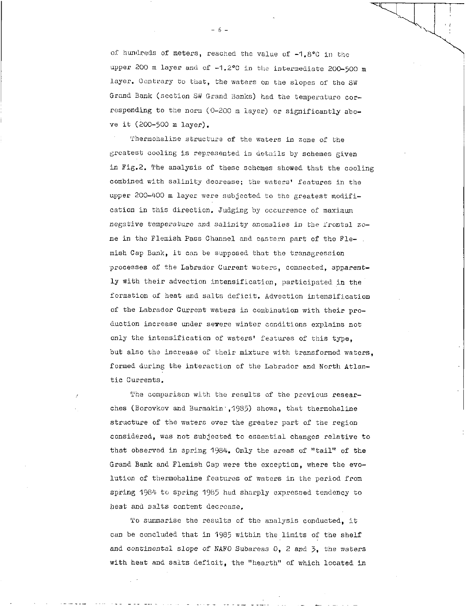of hundreds of meters, reached the value of -1.8°C in the upper 200 m layer and of -1.2°C in the intermediate 200-500 m layer. Contrary to that, the waters on the slopes of the SW Grand Bank (section SW Grand Banks) had the temperature corresponding to the norm (0-200 m layer) or significantly above it (200-500 m layer).

Thermohaline structure of the waters in zone of the greatest cooling is represented in details by schemes given in Fig.2. The analysis of these schemes showed that the cooling combined with salinity decrease; the waters' features in the upper 200-400 m layer were subjected to the greatest modification in this direction. Judging by occurrence of maximum negative temperature and *salinity* anomalies in the frontal zone in the Flemish Pass Channel and eastern part of the Flemish Cap Bank, it can be supposed that the transgression processes of the Labrador Current waters, connected, apparently with their advection intensification, participated in the formation of heat and salts deficit. Advection intensification of the Labrador Current waters in combination with their production increase under severe winter conditions explains not only the intensification of waters' features of this type, but also the increase of their mixture with transformed waters, formed during the interaction of the Labrador and North Atlantic Currents.

The comparison with the results of the previous researches (Borovkov and Burmakin',1985) shows, that thermohaline structure of the waters over the greater part of the region considered, was not subjected to essential changes relative to that observed in spring 1984, Only the areas of "tail" of the Grand Bank and Flemish Cap were the exception, where the evolution of thermohaline features of waters in the period from spring 1984 to spring 1985 had sharply expressed tendency to heat and salts content decrease,

To summarise the results of the analysis conducted, it can be concluded that in 1985 within the limits of the shelf and *continental slope of* NAFO Subareas 0, *2* and 3, the waters with heat and salts deficit, the "hearth" of which located in

- *<sup>6</sup>*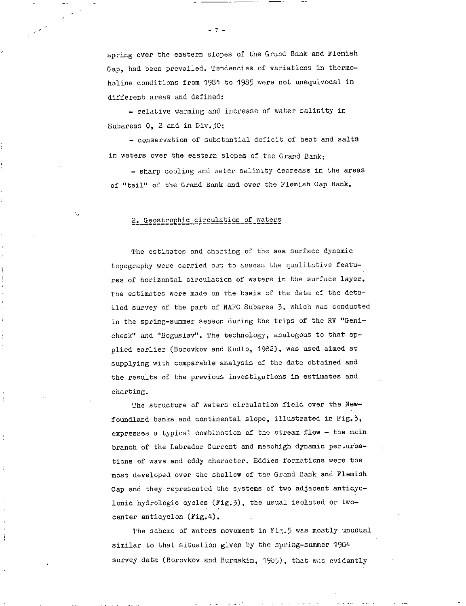spring over the eastern slopes of the Grand Bank and Flemish Cap, had been prevailed. Tendencies of variations in thermohaline conditions from 1984 to 1985 were not unequivocal in different areas and defined:

- relative warming and increase of water salinity in Subareas 0, 2 and in Div.30;

- conservation of substantial deficit of heat and salts in waters over the eastern slopes of the Grand Bank;

- sharp cooling and water salinity decrease in the areas of "tail" of the Grand Bank and over the Flemish Cap Bank.

## 2. Geostrophic circulation of waters

The estimates and charting of the sea surface dynamic topography were carried out to assess the qualitative features of horizontal circulation of waters in the surface layer. The estimates were made on the basis of the data of the detailed survey of the part of NAFO Subarea 3, which was conducted in the spring-summer season during the trips of the RV "Genichesk" and "Boguslav". The technology, analogous to that applied earlier (Borovkov and Kudlo, 1982), was used aimed at supplying with comparable analysis of the data obtained and the results of the previous investigations in estimates and charting.

The structure of waters circulation field over the Newfoundland banks and continental slope, illustrated in Fig.3, expresses a typical combination of the stream flow - the main branch of the Labrador Current and mesohigh dynamic perturbations of wave and eddy character. Eddies formations were the most developed over the shallow of the Grand Bank and Flemish Cap and they represented the systems of two adjacent anticyclonic hydrologic cycles (Fig.3), the usual isolated or twocenter anticyclon (Fig.4).

The scheme of waters movement in Fig.5 was mostly unusual similar to that situation given by the spring-summer 1984 survey data (Borovkov and Burmakin, 1985), that was evidently

 $-7 -$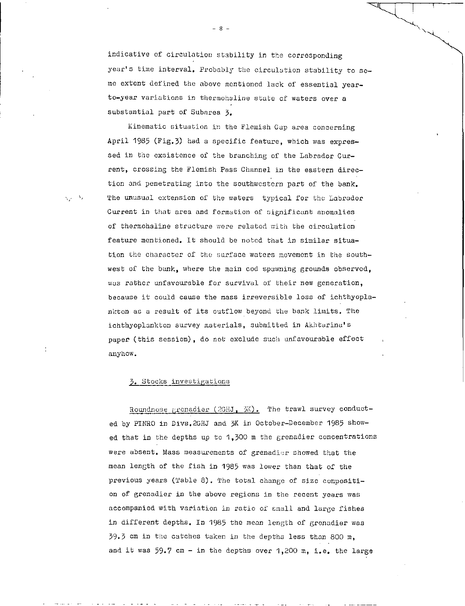indicative of circulation stability in the corresponding year's time interval. Probably the circulation stability to some extent defined the above mentioned lack of essential yearto-year variations in thermohaline state of waters over a substantial part of Subarea 3.

Kinematic situation in the Flemish Cap area concerning April 1985 (Fig. 3) had a specific feature, which was expressed in the exsistence of the branching of the Labrador Current, crossing the Flemish Pass Channel in the eastern direction and penetrating into the southwestern part of the bank. The unusual extension of the waters typical for the Labrador Current in that area and formation of significant anomalies of thermohaline structure were related with the circulation feature mentioned. It should be noted that in similar situation the character of the surface waters movement in the southwest of the bank, where the main cod spawning grounds observed, was rather unfavourable for survival of their new generation, because it could cause the mass irreversible loss of ichthyoplankton as a result of its outflow beyond the bank limits. The ichthyoplankton survey materials, submitted in Akhtarina's paper (this session), do not exclude such unfavourable effect anyhow.

#### 3. Stocks investigations

Roundnose grenadier  $(2GHJ, 3K)$ . The trawl survey conducted by PINRO in Divs.2GHJ and 3K in October-December 1985 showed that in the depths up to 1,300 m the grenadier concentrations were absent. Mass measurements of grenadier showed that the mean length of the fish in 1985 was lower than that of the previous years (Table 8). The total change of size composition of grenadier in the above regions in the recent years was accompanied with variation in ratio of small and large fishes in different depths. In 1985 the mean length of grenadier was 39.3 cm in the catches taken in the depths less than 800 m, and it was  $59.7$  cm - in the depths over 1,200 m, i.e. the large

ره اير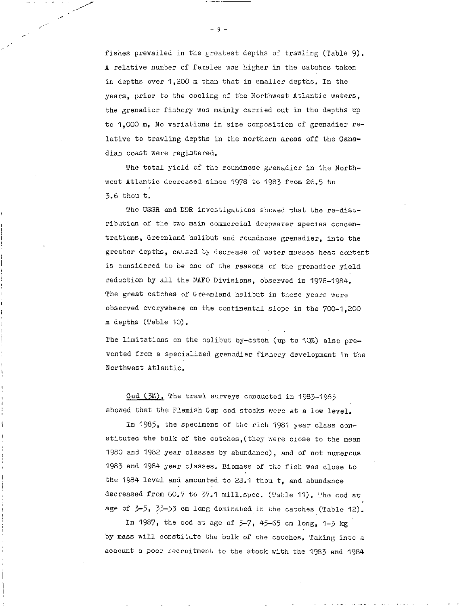fishes prevailed in the greatest depths of trawling (Table 9). A relative number of females was higher in the catches taken in depths over 1,200 m than that in smaller depths, In the years, prior to the cooling of the Northwest Atlantic waters, the grenadier fishery was mainly carried out in the depths up to 1,000 m. No variations in size composition of grenadier relative to trawling depths in the northern areas off the Canadian coast were registered.

The total yield of the roundnose grenadier in the Northwest Atlantic decreased since 1978 to 1983 from 26.5 to 3.6 thou t,

The USSR and DDR investigations showed that the re-distribution of the two main commercial deepwater species concentrations, Greenland halibut and roundnose grenadier, into the greater depths, caused by decrease of water masses heat content is considered to be one of the reasons of the grenadier yield reduction by all the NAFO Divisions, observed in 1978-1984. The great catches of Greenland halibut in these years were observed everywhere on the continental slope in the 700-1,200 m depths (Table 10).

The limitations on the halibut by-catch (up to 10%) also prevented from a specialized grenadier fishery development in the Northwest Atlantic.

Cod (3M). The trawl surveys conducted in 1983-1985 showed that the Flemish Cap cod stocks were at a low level.

In 1985, the specimens of the rich 1981 year class constituted the bulk of the catches,(they were close to the mean 1980 and 1982 year classes by abundance), and of not numerous 1983 and 1984 year classes. Biomass of the fish was close to the 1984 level and amounted to 28,1 thou t, and abundance decreased from 60.7 to 37.1 mill. spec. (Table 11). The cod at age of 3-5, 33-53 cm long dominated in the catches (Table 12).

In 1987, the cod at ago of 5-7, 45-65 cm long, 1-3 kg by mass will constitute the bulk of the catches. Taking into a account a poor recruitment to the stock with the 1983 and 1984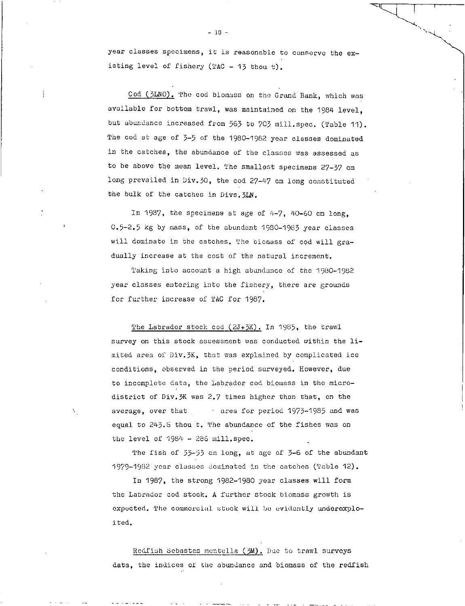year classes specimens, it is reasonable to conserve the existing level of fishery  $(TAC - 13$  thou t).

Cod (3LNO). The cod biomass on the Grand Bank, which was available for bottom trawl, was maintained on the 1984 level, but abundance increased from 563 to 703 mill.spec. (Table 11). The cod at age of 3-5 of the 1980-1982 year classes dominated in the catches, the abundance of the classes was assessed as to be above the mean level. The smallest specimens 27-37 cm long prevailed in Div.30, the cod 27-47 cm long constituted the bulk of the catches in Divs.3LN.

In 1987, the specimens at age of 4-7, 40-60 cm long, 0.5-2.5 kg by mass, of the abundant 1980-1983 year classes will dominate in the catches. The biomass of cod will gradually increase at the cost of the natural increment.

Taking into account a high abundance of the 1980-1982 year classes entering into the fishery, there are grounds for further increase of TAC for 1987.

The Labrador stock cod  $(2J+3K)$ . In 1985, the trawl survey on this stock assessment was conducted within the limited area of Div.3K, that was explained by complicated ice conditions, observed in the period surveyed. However, due to incomplete data, the Labrador cod biomass in the microdistrict of Div.3K was 2.7 times higher than that, on the average, over that **• area for period 1973-1985** and was equal to  $243.6$  thou t. The abundance of the fishes was on the level of 1984 - 286 mill.spec.

The fish of 53-53 cm long, at age of 3-6 of the abundant 1979-1982 year classes dominated in the catches (Table 12).

In 1987, the strong 1982-1980 year classes will form the Labrador cod stock. A further stock biomass growth is expected. The commercial. stuck will be evidently underoxploited.

Redfish Sebastes mentella (3M). Due to trawl surveys data, the indices of the abundance and biomass of the redfish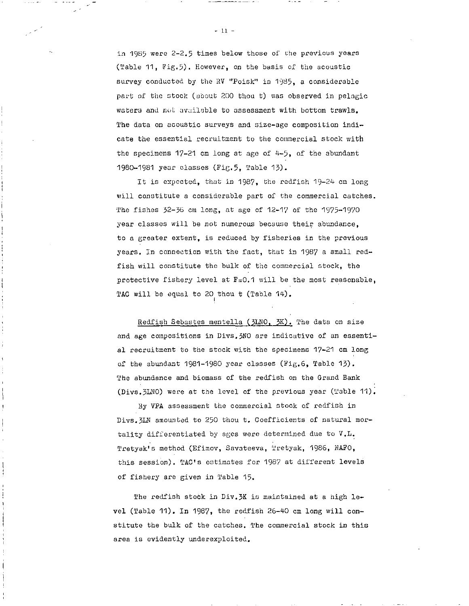in 1985 were 2-2.5 times below those of the previous years (Table 11, Fig.5). However, on the basis of the acoustic survey conducted by the RV "Poisk" in 1985, a considerable part of the stock (about 200 thou t) was observed in pelagic waters and not available to assessment with bottom trawls. The data on acoustic surveys and size-age composition indicate the essential recruitment to the commercial stock with the specimens 17-21 cm long at age of 4-5, of the abundant 1980-1981 year classes (Fig.5, Table 13).

It is expected, that in 1987, the redfish 19-24 cm long will constitute a considerable part of the commercial catches. The fishes 32-36 cm long, at age of 12-17 of the 1975-1970 year classes will be not numerous because their abundance, to a greater extent, is reduced by fisheries in the previous years. In connection with the fact, that in 1987 a small redfish will constitute the bulk of the commercial stock, the protective fishery level at  $F=0.1$  will be the most reasonable, TAC will be equal to 20 thou t (Table 14).

Redfish Sebastes mentella (3LNO, 3K). The data on size and age compositions in Divs. 3NO are indicative of an essential recruitment to the stock with the specimens 17-21 cm long of the abundant 1981-1980 year classes (Fig.6, Table 13). The abundance and biomass of the redfish on the Grand Bank (Dive.3LN0) were at the level of the previous year (Table 11).

By VPA assessment the commercial stock of redfish in Divs.3LN amounted to 250 thou t. Coefficients of natural mortality differentiated by ages were determined due to V.I. Tretyak's method (Efimov, Savateeva, Tretyak, 1986, NAPO, this session). TAC's estimates for 1987 at different levels of fishery are given in Table 15.

The redfish stock in Div.3K is maintained at a high level (Table 11). In 1987, the redfish 26-40 cm long will constitute the bulk of the catches. The commercial stock in this area is evidently underexploited.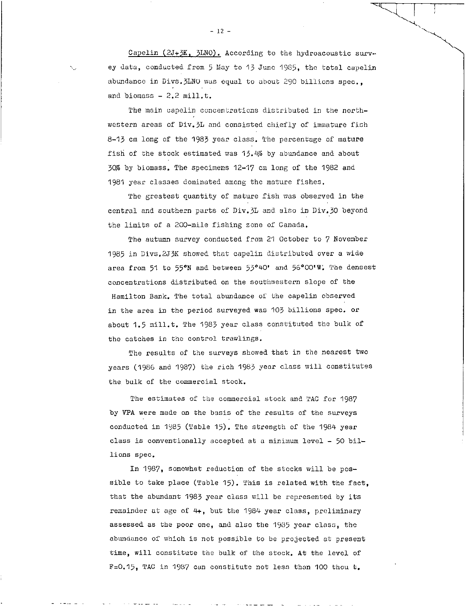Capelin ( $2J+2K$ ,  $3LNO$ ). According to the hydroacoustic survey data, conducted from 5 May to 13 June 1985, the total capelin abundance in Divs. 3LNO was equal to about 290 billions spec., and biomass  $-2.2$  mill.t.

The main capelin concentrations distributed in the northwestern areas of Div.3L and consisted chiefly of immature fish 8-13 cm long of the 1983 year class. The percentage of mature fish of the stock estimated was 13.4% by abundance and about 307 by biomass. The specimens 12-17 cm long of the 1982 and 1981 year classes dominated among the mature fishes.

The greatest quantity of mature fish was observed in the central and southern parts of Div.3L and also in Div.30 beyond the limits of a 200-mile fishing zone of Canada.

The autumn survey conducted from 21 October to 7 November 1985 in Divs.2J3K showed that capelin distributed over a wide area from 51 to 55°N and between 53°40' and 56°00'W. The densest concentrations distributed on the southwestern slope of the Hamilton Bank. The total abundance of the capelin observed in the area in the period surveyed was 103 billions spec. or about 1.5 mill.t. The 1983 year class constituted the bulk of the catches in the control trawlings.

The results of the surveys showed that in the nearest two years (1986 and 1987) the rich 1983 year class will constitutes the bulk of the commercial stock.

The estimates of the commercial stock and TAC for 1987 by VPA were made on the basis of the results of the surveys conducted in 1985 (Table 15). The strength of the 1984 year class is conventionally accepted at a minimum level - 50 billions spec.

In 1987, somewhat reduction of the stocks will be possible to take place (Table 15). This is related with the fact. that the abundant 1983 year class will be represented by its remainder at age of 4+, but the 1984 year class, preliminary assessed as the poor one, and also the 1935 year class, the abundance of which is not possible to be projected at present time, will constitute the bulk of the stock. At the level of F=0.15, TAC in 1987 can constitute not less than 100 thou t.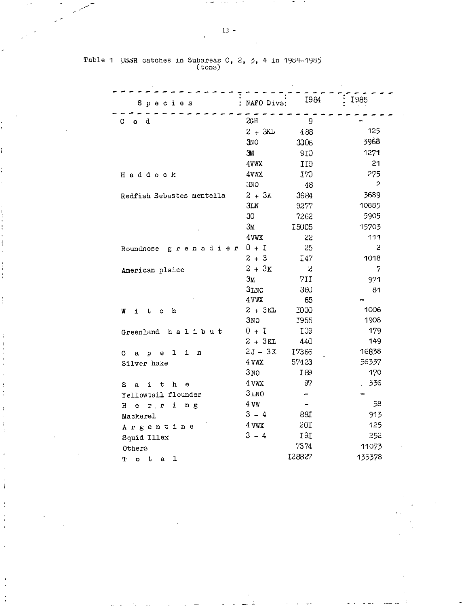| Species                            | NAFO Divs:       | 1984             | <b>I985</b>    |
|------------------------------------|------------------|------------------|----------------|
| C.<br>d<br>Ō.                      | 2 <sub>CH</sub>  | 9                |                |
|                                    | $2 + 3kL$        | 488              | 125            |
|                                    | <b>3NO</b>       | 3306             | 3968           |
|                                    | 31               | 9I0              | 1271           |
|                                    | 4VWX             | II0              | 21             |
| Haddock                            | 4VWX             | I70              | 275            |
|                                    | 3NO              | 48               | $\overline{c}$ |
| Redfish Sebastes mentella          | $2 + 3K$         | 3684             | 3689           |
|                                    | 3LN              | 9277             | 10885          |
|                                    | 30               | 7262             | 5905           |
|                                    | 3 <sub>M</sub>   | 15005            | 15703          |
|                                    | 4 VWX            | 22               | 111            |
| Roundnose grenadier                | $0 + I$          | 25               | $\overline{c}$ |
|                                    | $2 + 3$          | I47              | 1018           |
| American plaice                    | $2 + 3K$         | $\boldsymbol{z}$ | 7              |
|                                    | 3 <sub>M</sub>   | 7II              | 971            |
|                                    | 3LNO             | 360              | 81             |
|                                    | 4 VWX            | 65               |                |
| h<br>w<br>ì<br>t c                 | $2 + 3KL$        | I000             | 1006           |
|                                    | 3 <sub>N</sub>   | <b>I955</b>      | 1908           |
| Greenland halibut                  | $0 + I$          | I09              | 179            |
|                                    | $2 + 3KL$        | 440              | 149            |
| $e \t1$<br>i<br>n<br>c.<br>$a$ $p$ | $2J + 3K$        | I7366            | 16838          |
| Silver hake                        | 4 VWX            | 57423            | 56357          |
|                                    | 3 <sub>NO</sub>  | I89              | 170            |
| i t<br>h<br>$\mathbf e$<br>s.<br>a | 4 VWX            | 97               | 336            |
| Yellowtail flounder                | 3 <sub>LMO</sub> | −.               |                |
| erring<br>H                        | 4 VW             |                  | 58             |
| Mackerel                           | $3 + 4$          | 88I              | 913            |
| Argentine                          | 4 ywx            | 20I              | 125            |
| Squid Illex                        | $3 + 4$          | I9I              | 252            |
| Others                             |                  | 7374             | 11073          |
| 1<br>т<br>$\bullet$<br>t.<br>a     |                  | I28827           | 133378         |

Table 1 USSR catches in Subareas 0, 2, 3, 4 in 1984-1985<br>(tons)

 $\frac{1}{2}$ 

 $\overline{1}$ ł

 $\overline{1}$ 

 $\mathfrak{t}$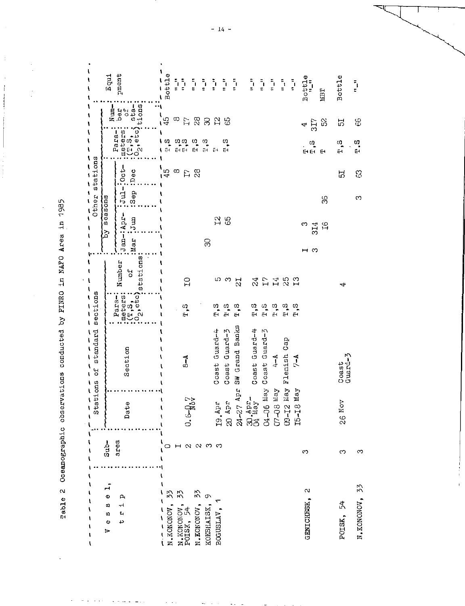Table 2 Oceanographic observations conducted by FINRO in NAFO Area in 1985

 $\langle$ 

Í

Ì

 $\mathbf{I}$ ーーーー  $5$ ottle Equi pment  $Bott1e$ **Bottle**  $\frac{1}{2}\frac{z}{z}$  $\overline{\mathbf{A}}$  $\frac{\pi}{\pi}$  $\frac{1}{z}$  $\frac{5}{4}$  $\frac{1}{z}$  $\frac{\pi}{2}$  $\frac{z}{z}$  $\frac{\pi}{\pi}$  $\frac{\pi}{2}$  $\frac{1}{\pi}$  $\frac{z_i}{z}$  $\frac{1}{2}$  $\overline{\mathbf{t}}$ **NEE**  $\ddot{a}$  $\begin{array}{ll} \begin{array}{ll} \text{vertex} & \text{Oef} \ \text{CFT} \ \text{CFT} & \text{CFT} \ \text{CFT} & \text{CFT} \ \text{CFT} & \text{st} \ \text{SFT} \ \text{SFT} \end{array} \end{array}$  $N$ um $\mathbf{I}$ **Ped**<br>Bed  $\bar{\mathbf{r}}$  $\mathbf{I}$  $\frac{1}{2}$  $45$  $\frac{8}{2}$ ន $\alpha$  ង ន  $317$ 8 ္သ 员  $\sqrt{2}$ 4  $\bar{\mathbf{t}}$ Paraţ  $\overline{\mathbf{I}}$ |<br>| ၁ ၁၀၀ ပ် က<br>| ၁ ၁ ၁ ၁ ၁  $T, 5$ ្ធ<br>ភូមិ<br>ភូមិ  $E, E$ រ<br>អ  $\ddot{=}$  $\mathbf{I}$ :Jan-:Apr- :Jul-:Oct- $\frac{1}{45}$  $\infty$  $E \overset{\circ}{\alpha}$ :Sep :Dec  $\mathbbm{S}$ ದ by seasons ೫  $\infty$ Mar Jum  $\frac{2}{10}$ 314  $\mathfrak{g}$ S  $\mathcal{S}$  $\mathbf{I}$ ⇔⊢  $\begin{array}{ll} \vdots_{\text{meters}} & \text{number} \ \vdots \\ \vdots_{\text{mets}} & \text{if} \ \vdots \\ \vdots \\ \vdots \\ \vdots \\ \vdots \\ \vdots \end{array}$  $\ddot{\cdot}$  $\mathbf{I}$ Number  $\pmb{\mathfrak{t}}$  $\pmb{\mathfrak{t}}$  $\overline{\mathbf{r}}$  $11480$ 10 m m  $\mathbf{I}$  $\overline{L}$  $\stackrel{\textstyle{4}}{\approx}$ ٣Ť  $\overline{\mathbf{I}}$ Para-: ٦ មិត្ត<br>ស្រួត<br>ស្រួត  $\frac{a}{H}$  $F \cdot S$  $\frac{3}{4}$  $T$ , 8  $\mathfrak x, \mathfrak S$ ţ Ù 24-27 Apr SW Grand Banks Coast Guard-4 Coast Guard-3 Coast Guard-4 O4-O6 May Coast Guard-3 t C9-I2 May Flemish Cap ١ Section ţ  $\frac{Caast}{Gaust}$  $4-4$  $7-1$  $\overline{\mathbf{r}}$  $\frac{1}{6}$  $\mathbf{I}$  $\pmb{\mathfrak{t}}$ ţ Arin 80-40 T5-I8 May  $30.4 \text{ps} - 30.4 \text{ps}$  $0.6 - \rho_{\rm oV}$  $20 \text{ } 42^{\circ}$  $\mathbf{I}$ 19. Apr 26 Nov Date  $\mathbf{I}$  $\bar{\mathbf{t}}$  $\pmb{\mathfrak{t}}$  $\mathbf{I}$  $\sqrt{2}$  $\sinh$ area  $\alpha$   $\alpha$   $\sigma$   $\sigma$ O  $\mapsto$  $\frac{1}{1}$  $\infty$  $\infty$  $\infty$  $\overline{\mathbf{A}}$  $\mathbf{I}$  $\mathbf{r}$ N.KONONOV, 33  $\mathbf{\Omega}$  $\mathbf{I}$  $N_{\star}$ KONONOV, 33<br>POISK, 54 N.KONONOV, 33  $\mathbf{I}$ N.KONONOV, 33 ¢ KOKSHAISK, 9  $\mathbf{p}_i$ アルトリー りく BOGUSLAV, 1 GENICHESK,  $\mathbf t$  $\ddot{\phantom{1}}$ POISK, 54  $\sigma$  $\pmb{\mathfrak{c}}$  $\sigma$  $\mathbf{L}_\mathbf{I}$  $\pmb{\mathsf{t}}$  $\ddot{\mathbf{O}}$  $\overline{1}$  $\mathbf{I}$ ь  $\pmb{\mathsf{S}}$  $\overline{\mathbf{r}}$ 

 $-14 -$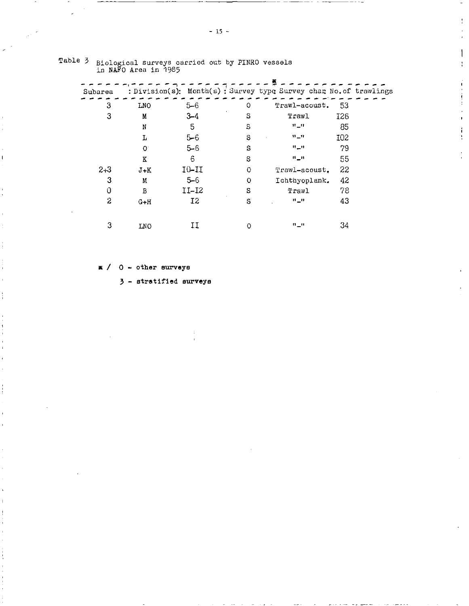| Subarea |              |                |         | : Division(s): Month(s) : Survey type Survey char No. of trawlings |     |  |
|---------|--------------|----------------|---------|--------------------------------------------------------------------|-----|--|
| 3       | LNO          | $5 - 6$        | O       | Trawl-acoust.                                                      | 53  |  |
| 3       | M            | $3 - 4$        | s       | Trawl                                                              | I26 |  |
|         | N            | 5              | S       | $\mathbf{H}$ of $\mathbf{H}$                                       | 85  |  |
|         | L            | $5 - 6$        | S       | $\mathbf{u}$ or                                                    | I02 |  |
|         | $\mathbf{O}$ | $5 - 6$        | S       | $H$ $_H$ tt                                                        | 79  |  |
|         | K            | 6              | S       | $H_+H$                                                             | 55  |  |
| $2 + 3$ | $J+K$        | 10-11          | $\circ$ | Trawl-acoust.                                                      | 22  |  |
| 3       | M            | $5 - 6$        | O       | Ichthyoplank.                                                      | 42  |  |
| 0       | В            | $II-I2$        | S       | Trawl                                                              | 78  |  |
| 2       | $G+H$        | I <sub>2</sub> | S       | $H \cup H$                                                         | 43  |  |
|         |              |                |         |                                                                    |     |  |
| 3       | <b>LNO</b>   | IJ             | O       | $\mathbf{u}$ or                                                    | 34  |  |

# Table 3 Biological surveys carried out by PINRO vessels<br>in NAFO Area in 1985

 $\mathbb{R}$  / 0 - other surveys

 $3$  - stratified surveys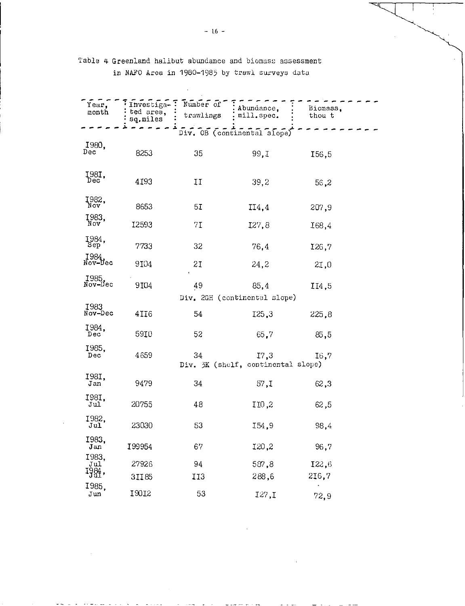| Year,<br>month         | Investiga-<br>ted area,<br>sq.miles | Number of<br>trawlings | Abundance,<br>mill.spec.                   | Biomass.<br>thou t |  |
|------------------------|-------------------------------------|------------------------|--------------------------------------------|--------------------|--|
|                        |                                     |                        | Div. OB (continental slope)                |                    |  |
| 1980,<br>Dec           | 8253                                | 35                     | 99,I                                       | 156,5              |  |
| Į98I,<br>Dec           | 4193                                | IJ                     | 39,2                                       | 56,2               |  |
| 1982,                  | 8653                                | 5I                     | II4,4                                      | 207,9              |  |
| 1983,                  | I2593                               | 7I                     | I27,8                                      | I68,4              |  |
| 1984,                  | 7733                                | 32                     | 76,4                                       | 126,7              |  |
| 1984.<br>Nov-Dec       | 9104                                | 21                     | 24,2                                       | 2I,0               |  |
| 1985.<br>Nov-Dec       | 9104                                | 49                     | 85,4                                       | II4,5              |  |
|                        |                                     |                        | Div. 2GH (continental slope)               |                    |  |
| <b>I983</b><br>Nov-Dec | 4II6                                | 54                     | 125,3                                      | 225.8              |  |
| 1984,<br>Dec           | 5910                                | 52                     | 65,7                                       | 85,5               |  |
| 1985,<br>Dec           | 4659                                | 34                     | 17,3<br>Div. 3K (shelf, continental slope) | I6,7               |  |
| I981,<br>Jan           | 9479                                | 34                     | 57, I                                      | 62,3               |  |
| I981,<br>Jul           | 20755                               | 48                     | IIO,2                                      | 62,5               |  |
| 1982,<br>Jul           | 23030                               | 53                     | I54,9                                      | 98,4               |  |
| 1983,<br>Jan           | 199954                              | 67                     | 120,2                                      | 96,7               |  |
| 1983,<br>Jul           | 27926                               | 94                     | 587,8                                      | 122,6              |  |
| 1984,                  | 3II85                               | 113                    | 288,6                                      | 216.7              |  |
| I985,<br>Jun           | 13012                               | 53                     | I27.1                                      | 72,9               |  |

## Table 4 Greenland halibut abundance and biomass assessment in NAFO Area in 1980-1985 by trawl surveys data

 $\cdot$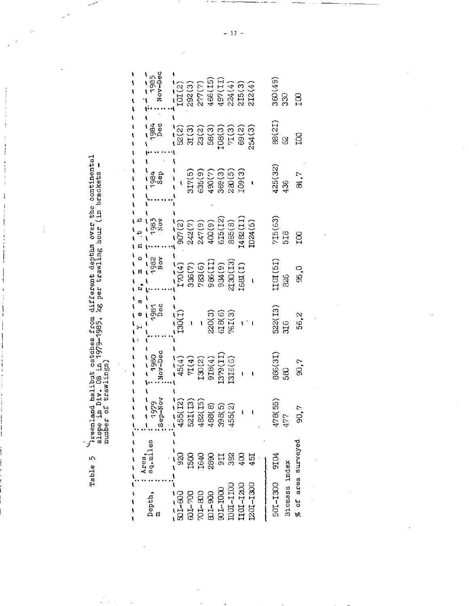greenland halibut catches from different depths over the continental<br>slope in Div. OB in 1979-1985, kg per trawling hour (in brackets -<br>number of trawlings)

Table 5

 $\frac{1}{\sigma_{\rm{eff}}^2}$ 

 $\ddot{\phantom{a}}$ 

J 

 $\begin{array}{c} \begin{array}{c} 1 \\ 1 \end{array} \\ \begin{array}{c} 1 \\ 1 \end{array} \\ \begin{array}{c} 1 \\ 1 \end{array} \\ \begin{array}{c} 1 \\ 1 \end{array} \\ \begin{array}{c} 1 \\ 1 \end{array} \\ \begin{array}{c} 1 \\ 1 \end{array} \\ \end{array}$ 

 $\mathbf{i}$ 

 $\frac{1}{4}$ 

|                                                                                         | ししし いしん                                                           | ١                             |                                                                                                                                                                                                       |                                |                                                                                                                                                                                                                                                                                                                                                                                                                          |                        |                                                          |             |                        |
|-----------------------------------------------------------------------------------------|-------------------------------------------------------------------|-------------------------------|-------------------------------------------------------------------------------------------------------------------------------------------------------------------------------------------------------|--------------------------------|--------------------------------------------------------------------------------------------------------------------------------------------------------------------------------------------------------------------------------------------------------------------------------------------------------------------------------------------------------------------------------------------------------------------------|------------------------|----------------------------------------------------------|-------------|------------------------|
| Depth,                                                                                  | sq.miles<br>Area,                                                 | 1979<br>Now<br>$rac{56}{6}$   | - - - -<br>1980<br>Nov-Dec                                                                                                                                                                            | $\sigma$<br>1981<br>Dec        | 1982<br>Nov                                                                                                                                                                                                                                                                                                                                                                                                              | $\frac{1081}{1000}$    | 1980<br>1980<br>1980                                     | 1984        | Nov-Dec<br>1985        |
| $501 - 600$                                                                             | ţ<br>ţ<br>88                                                      | $\widehat{\Xi}$<br>455(       | $\begin{array}{c} \begin{array}{c} \bullet \, \zeta \, \zeta \, \zeta \\ \hline 45 \, (4) \\ 71 \, (4) \\ 130 \, (2) \\ 130 \, (3) \\ 918 \, (4) \\ 131 \, (5) \\ 131 \, (6) \end{array} \end{array}$ | $\overline{130(1)}$            | $\begin{bmatrix} 7 \ \text{F} \ \text{R} \ \text{F} \ \text{H} \ \text{H} \ \text{H} \ \text{H} \ \text{H} \ \text{H} \ \text{H} \ \text{H} \ \text{H} \ \text{H} \ \text{H} \ \text{H} \ \text{H} \ \text{H} \ \text{H} \ \text{H} \ \text{H} \ \text{H} \ \text{H} \ \text{H} \ \text{H} \ \text{H} \ \text{H} \ \text{H} \ \text{H} \ \text{H} \ \text{H} \ \text{H} \ \text{H} \ \text{H} \ \text{H} \ \text{H} \ \$ |                        |                                                          |             | IOI(2)                 |
|                                                                                         | $\begin{array}{l} 1500 \\ 1540 \\ 2880 \\ 511 \\ 332 \end{array}$ | <u>គ្គ គ្</u> ន<br><b>PSS</b> |                                                                                                                                                                                                       |                                |                                                                                                                                                                                                                                                                                                                                                                                                                          |                        | $317(5)$<br>$635(9)$<br>$490(7)$<br>$369(3)$<br>$280(5)$ |             | 292(3)<br>277(7)       |
|                                                                                         |                                                                   | 482(                          |                                                                                                                                                                                                       |                                |                                                                                                                                                                                                                                                                                                                                                                                                                          |                        |                                                          |             |                        |
|                                                                                         |                                                                   | ဆ<br>488(                     |                                                                                                                                                                                                       | $220(3)$<br>$618(6)$<br>76I(3) |                                                                                                                                                                                                                                                                                                                                                                                                                          |                        |                                                          |             | $466(15)$<br>$497(11)$ |
|                                                                                         |                                                                   | $\widehat{\Omega}$ ରି<br>398  |                                                                                                                                                                                                       |                                |                                                                                                                                                                                                                                                                                                                                                                                                                          | 615(12)                |                                                          |             |                        |
| $\begin{array}{l} 601-700 \\ 701-800 \\ 601-300 \\ 901-1000 \\ 901-1000 \\ \end{array}$ |                                                                   | 455(                          |                                                                                                                                                                                                       |                                |                                                                                                                                                                                                                                                                                                                                                                                                                          |                        |                                                          |             | 224(4)                 |
| 1101-1200                                                                               | $\frac{8}{3}$                                                     |                               |                                                                                                                                                                                                       |                                |                                                                                                                                                                                                                                                                                                                                                                                                                          | $365(8)$<br>$I482(II)$ | LO9(3)                                                   |             | 215(3)                 |
| 201-1300                                                                                | 451                                                               |                               |                                                                                                                                                                                                       |                                |                                                                                                                                                                                                                                                                                                                                                                                                                          | 1024(5)                |                                                          |             | 212(4)                 |
|                                                                                         |                                                                   |                               |                                                                                                                                                                                                       |                                |                                                                                                                                                                                                                                                                                                                                                                                                                          |                        |                                                          |             |                        |
| Biomass index<br>501-1300                                                               | <b>POIG</b>                                                       | .<br>ເກີ<br>478(<br>477       | 16)886<br>8g                                                                                                                                                                                          | 522(13)<br>316                 | IIOI (51)<br>826                                                                                                                                                                                                                                                                                                                                                                                                         | 715(63)<br>518         | (32)<br>436                                              | 88(21)<br>8 | 360(49)<br>330         |
| % of area surveyed                                                                      |                                                                   | Э,                            | 90,7                                                                                                                                                                                                  | 56,2                           | ು.<br>೧                                                                                                                                                                                                                                                                                                                                                                                                                  | 8                      | a, 7                                                     | 8           | 50 <sub>1</sub>        |

 $-17-$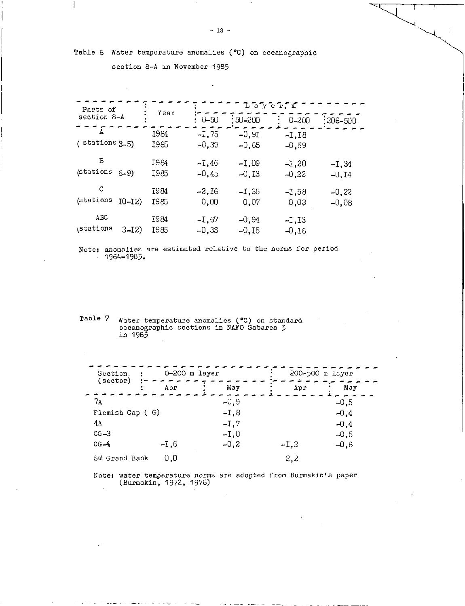Table 6 Water temperature anomalies ( °C) on oceanographic

section 8-A in November 1985

 $\overline{\phantom{a}}$ 

| Parts of            |            |                     |                    | $\mathbb{L}$ a $\mathbb{V}$ e $\mathbb{R}$ , $\mathbb{\bar{m}}$ |                    |                     |
|---------------------|------------|---------------------|--------------------|-----------------------------------------------------------------|--------------------|---------------------|
| section 8-A         |            | Year                | $: 0 - 50$         | $\div 50 - 200$                                                 | $0 - 200$          | $:200 - 500$        |
| A<br>(stations 3-5) |            | I984<br>I985        | $-1,75$<br>$-0,39$ | $-0.9I$<br>$-0,65$                                              | $-1.18$<br>$-0,59$ |                     |
| В<br>(stations      | $6 - 9$    | I984<br>I985        | -I.46<br>$-0,45$   | $-1,09$<br>$-0,13$                                              | $-1,20$<br>$-0,22$ | $-1, 34$<br>$-0,14$ |
| C<br>(stations      | $10 - 12)$ | 1984<br><b>I985</b> | -2.I6<br>0,00      | $-1,35$<br>0.07                                                 | -1,58<br>0.03      | $-0,22$<br>$-0,08$  |
| ABC<br>stations     | $3 - I2$   | I984<br>I985        | $-1,67$<br>$-0.33$ | $-0, 94$<br>$-0,15$                                             | $-I,I3$<br>$-0,16$ |                     |

Note: anomalies are estimated relative to the norms for period  $1964 - 1985.$ 

Table 7 Water temperature anomalies ( °C) on standard oceanographic sections in NAFO Sabarea 3 in 1985

| Section.<br>$\cdot$<br>(sector) | 0-200 m layer |        |        | 200-500 m layer |
|---------------------------------|---------------|--------|--------|-----------------|
|                                 | Apr           | Way    | Apr    | Мау             |
| 7Α                              |               | $-0.9$ |        | $-0,5$          |
| Flemish Cap ( G)                |               | $-1.8$ |        | $-0.4$          |
| 4А                              |               | $-1,7$ |        | $-0,4$          |
| $CG-3$                          |               | -I.O   |        | $-0.5$          |
| $CG-4$                          | -I.6          | $-0.2$ | $-1,2$ | $-0.6$          |
| SW Grand Bank                   | 0.0           |        | 2,2    |                 |

Note: water temperature norms are adopted from Burmakin's paper (Burmakin, 1972, 1976)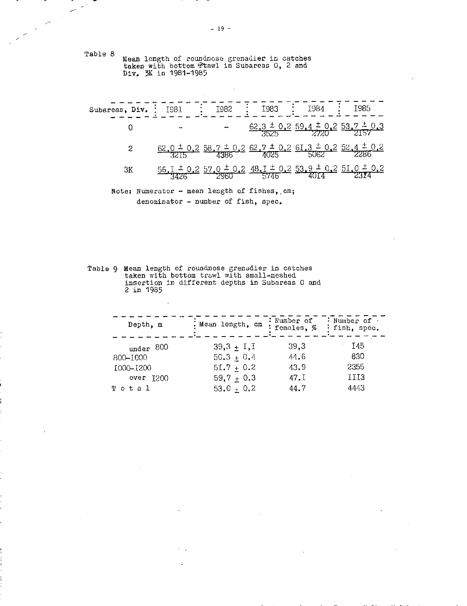Table 8 Mean length of roundnose grenadier in catches taken with bottom fitawl in Subareas 0, 2 and Div. 3K in 1981-1985

 $\overline{\phantom{a}}$  $\mathcal{L}^{\mathcal{L}}$ 

 $\mathbb{R}^2$ 

| Subareas, Div. | I981        | I982 | I983 | <b>I984</b>                                                                                                                         | I985 |
|----------------|-------------|------|------|-------------------------------------------------------------------------------------------------------------------------------------|------|
|                |             |      |      | $\frac{62.3 \pm 0.2}{3525} \frac{59.4 \pm 0.2}{2720} \frac{53.7}{2}$                                                                |      |
| 2              |             |      |      | $\frac{62.0 \pm 0.2}{3215} \frac{58.7 \pm 0.2}{4386} \frac{62.7 \pm 0.2}{4025} \frac{61.3 \pm 0.2}{5062} \frac{52.4 \pm 0.2}{2286}$ |      |
| 3K             | <u>56.I</u> |      |      | $0.2$ 57.0 $\pm$ 0.2 48.1 $\pm$ 0.2 53.9 $\pm$ 0.2 51.0<br>$\frac{0.2}{2960}$ 5746                                                  |      |

 $\bar{z}$ 

Note: Numerator - mean length of fishes, cm; denominator - number of fish, spec.

Table 9 Mean length of roundnose grenadier in catches taken with bottom trawl with small-meshed insertion in different depths in Subareas 0 and 2 in 1985

| Depth, m      | . Mean length, cm | : Number of<br>females. % | : Number of<br>: fish, spec. |
|---------------|-------------------|---------------------------|------------------------------|
| under 800     | $39,3 + I, I$     | 39,3                      | I45                          |
| 800-1000      | $50.3 + 0.4$      | 44.6                      | -830-                        |
| 1000-1200     | $51.7 + 0.2$      | 43.9                      | 2355                         |
| $over$ $1200$ | $59,7 + 0.3$      | 47.1                      | III3                         |
| Total         | $53.0 + 0.2$      | 44.7                      | 4443                         |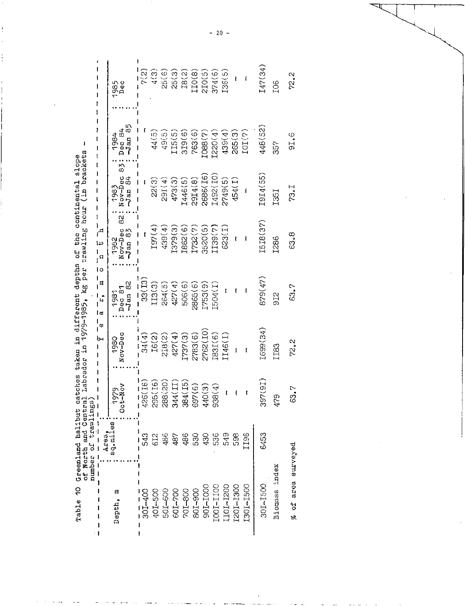| Table 10 Greenland halibut catches taken in different depths of the continental slope | of North and Central Labrador in 1979-1985, kg per trawling hour (in brackets |
|---------------------------------------------------------------------------------------|-------------------------------------------------------------------------------|
|                                                                                       |                                                                               |
|                                                                                       |                                                                               |
|                                                                                       |                                                                               |
|                                                                                       | $\overline{C}$                                                                |
|                                                                                       |                                                                               |
|                                                                                       |                                                                               |

|                    | or nor or drawlings) |                              | ı<br>Ì          |                               | į<br>I<br>İ                                                 |                                 |                                    |                 |
|--------------------|----------------------|------------------------------|-----------------|-------------------------------|-------------------------------------------------------------|---------------------------------|------------------------------------|-----------------|
|                    | Area,                |                              | Φ<br>┡          | ١o<br>日<br>$\mathbf{r}$<br>Ιø | $\mathbf{r}$<br>د∔ا<br>$\mathsf{q}$                         |                                 |                                    |                 |
| 티<br>Depth,        | sq.miles             | <b>666L</b><br>$\frac{1}{2}$ | Nov-Dec<br>1980 | $-Jan$ 82<br>Dec 81<br>1981   | $\frac{1}{8}$<br>Nov-Dec<br>$\frac{5}{2}$<br>1982<br>$J$ an | 83<br>Nov-Dec<br>Jan 84<br>1983 | 55<br>$\frac{Dec}{Use}$ 84<br>1984 | ၁၁၉၄<br>၁၉၄     |
| 301-400            | 543                  | 6(16)<br>$\tilde{q}_2$       | 34(4)           | 33(13)                        | Ì                                                           |                                 |                                    | $\frac{5}{2}$   |
| 401-500            | 612                  | 295(I6)                      | IG(2)           | III3(3)                       | I97(4)                                                      | 22(3)                           | 44(5)                              | 4(3)            |
| <b>POI-600</b>     | 486                  | 288(20)                      | 218(2)          | 264(5)                        | 439(4)                                                      | 29I(4)                          | 49(5)                              | 25(6)           |
| 601-700            | 487                  | 4(11)<br>$\mathcal{S}$       | 427(4)          | 427(4)                        | I379(3)                                                     | 473(3)                          | II5(5                              | 25(3)           |
| 201-800            | 486                  | 4(15)<br>ஜ்                  | I737(3)         | 506(6)                        | 1862(6)                                                     | 1446(5)                         | 319(6)                             | 18(2)           |
| 801-900            | 530                  | 7(6)<br>င္ပြာ                | 2783(6)         | 2865(6)                       | [732(7)]                                                    | 29I4(8)                         | 763(6)                             | IO(8)           |
| 901–100            | 430                  | 440(3)                       | 2762 (IO)       | [753(9)                       | 3520(5)                                                     | 2686(I6)                        | 1088(7)                            | 210(5)          |
| LOCI-1100          | 536                  | 8(4)<br>္တိ                  | I83I(6)         | [504(1)]                      | 139(7)                                                      | I492(IO)                        | [220(4)]                           | 374(6)          |
| LIOI-1200          | 549                  | ľ                            | 146(1)          | ţ                             | 623(I)                                                      | 2749(5)                         | 439(4)                             | 136(5)          |
| L201-1300          | န္တ                  | ĺ                            | ţ               | f                             | t                                                           | 454(I)                          | 265(3)                             | t               |
| 1301-1500          | 196                  | ľ                            | l               |                               |                                                             |                                 | IOI(7)                             | l               |
| 301-1500           | 6453                 | 397(9I)                      | I699(34)        | 879(47)                       | I5I8(37)                                                    | I9I4(55)                        | 448(52)                            | [47(34)         |
| reput<br>Biomass   |                      | თ<br>Š,                      | II83            | 9I2                           | I286                                                        | I35I                            | 57                                 | FO <sub>5</sub> |
| % of area surveyed |                      | 63.7                         | 72.2            | 63.7                          | 63.8                                                        | 73.I                            | 91.6                               | 72.2            |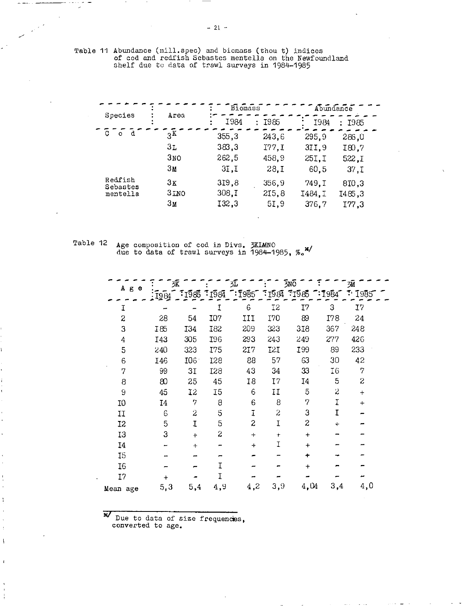Table 11 Abundance (mill.spec) and biomass (thou t) indices of cod and redfish Sebastes mentella on the Newfoundland shelf due to data of trawl surveys in 1984-1985

|                     |                 | Biomass |           |        | Abundance |  |
|---------------------|-----------------|---------|-----------|--------|-----------|--|
| Species             | Area            | I984    | I985<br>÷ | I984   | : 1985    |  |
| d<br>C<br>$\Omega$  | 3 <sup>K</sup>  | 355,3   | 243.6     | 295.9  | 286,0     |  |
|                     | Зr              | 383,3   | I77.1     | 3II.9  | I80.7     |  |
|                     | 3 <sub>NO</sub> | 262,5   | 458.9     | 25I.I  | 522.I     |  |
|                     | 3 <sub>M</sub>  | 3I, I   | 28.1      | 60.5   | 37, I     |  |
| Redfish<br>Sebastes | 3K              | 319,8   | 356.9     | 749.I  | 810,3     |  |
| mentella            | 3INO            | 308.I   | 215,8     | I484.I | 1485.3    |  |
|                     | Зм              | 132,3   | 5I.9      | 376.7  | I77.3     |  |

Table 12  $\,$  Age composition of cod in Divs. 3KIMNO due to data of trawl surveys in 1984-1985,

|                  | 3K    |                  |                | 妅                                                                                                                                                                                                                                                                                                                   |                 | 3no                        |                  | Эū  |  |
|------------------|-------|------------------|----------------|---------------------------------------------------------------------------------------------------------------------------------------------------------------------------------------------------------------------------------------------------------------------------------------------------------------------|-----------------|----------------------------|------------------|-----|--|
| Аве              | :1984 |                  |                | $\frac{1}{2}$ $\frac{1}{2}$ $\frac{1}{2}$ $\frac{1}{2}$ $\frac{1}{2}$ $\frac{1}{2}$ $\frac{1}{2}$ $\frac{1}{2}$ $\frac{1}{2}$ $\frac{1}{2}$ $\frac{1}{2}$ $\frac{1}{2}$ $\frac{1}{2}$ $\frac{1}{2}$ $\frac{1}{2}$ $\frac{1}{2}$ $\frac{1}{2}$ $\frac{1}{2}$ $\frac{1}{2}$ $\frac{1}{2}$ $\frac{1}{2}$ $\frac{1}{2}$ |                 | <b>1984 1985 1984 1985</b> |                  |     |  |
| Ι                |       |                  | I              | 6                                                                                                                                                                                                                                                                                                                   | 12              | I7                         | 3                | 17  |  |
| $\boldsymbol{z}$ | 28    | 54               | <b>I07</b>     | IJĮ                                                                                                                                                                                                                                                                                                                 | I70             | 89                         | I78              | 24  |  |
| 3                | I85   | I34              | <b>I82</b>     | 209                                                                                                                                                                                                                                                                                                                 | 323             | 318                        | 367              | 248 |  |
| 4                | I43   | 305              | I96            | 293                                                                                                                                                                                                                                                                                                                 | 243             | 249                        | 277              | 426 |  |
| 5                | 240   | 323              | I75            | 217                                                                                                                                                                                                                                                                                                                 | I <sub>2I</sub> | <b>I99</b>                 | 89               | 233 |  |
| 6                | I46   | I06 <sup>-</sup> | I28            | 88                                                                                                                                                                                                                                                                                                                  | 57              | 63                         | 30               | 42  |  |
| 7                | 99    | 3I               | I28            | 43                                                                                                                                                                                                                                                                                                                  | 34              | 33                         | <b>I6</b>        | 7   |  |
| 8                | 80    | 25               | 45             | 18                                                                                                                                                                                                                                                                                                                  | I               | 14                         | 5                | S   |  |
| 9                | 45    | $12 \,$          | I <sub>5</sub> | 6                                                                                                                                                                                                                                                                                                                   | IJ              | 5                          | $\boldsymbol{z}$ | $+$ |  |
| 10               | 14    | 7                | 8              | 6                                                                                                                                                                                                                                                                                                                   | 8               | 7                          | Ï                | $+$ |  |
| IJ               | 6     | 2                | 5              | I                                                                                                                                                                                                                                                                                                                   | $\overline{z}$  | 3                          | I                |     |  |
| 12               | 5     | I                | 5              | 2                                                                                                                                                                                                                                                                                                                   | I               | S                          | ÷                |     |  |
| 13               | 3     | $+$              | 2              | $+$                                                                                                                                                                                                                                                                                                                 | $\ddot{}$       | $+$                        |                  |     |  |
| <b>I4</b>        |       | $+$              |                | ┿                                                                                                                                                                                                                                                                                                                   | Ι               | $\ddot{}$                  |                  |     |  |
| 15               |       |                  |                |                                                                                                                                                                                                                                                                                                                     |                 | ÷                          |                  |     |  |
| I6               |       |                  | T              |                                                                                                                                                                                                                                                                                                                     |                 | $\ddot{}$                  |                  |     |  |
| I7               | +     |                  | I              |                                                                                                                                                                                                                                                                                                                     |                 |                            |                  |     |  |
| Mean age         | 5,3   | 5,4              | 4,9            | 4,2                                                                                                                                                                                                                                                                                                                 | 3,9             | 4,04                       | 3,4              | 4,0 |  |

'V Due to data of size frequencies, converted to age.

f,

 $\overline{\phantom{a}}$ 

 $\mathbf{I}$ 

 $- 21 -$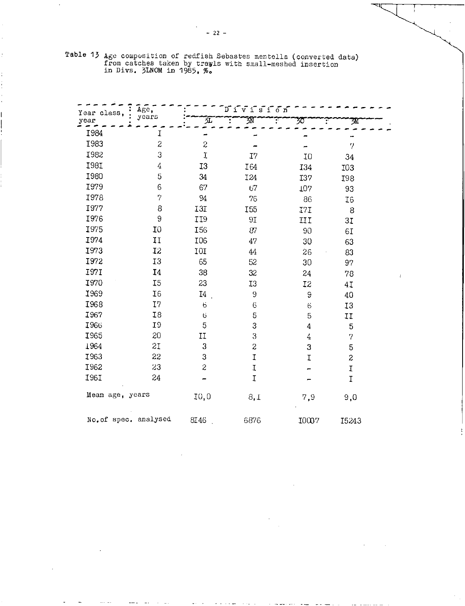|  | Table 13 Age composition of redfish Sebastes mentella (converted data) |  |
|--|------------------------------------------------------------------------|--|
|  | from catches taken by trawls with small-meshed insertion               |  |
|  | in Divs. $5LNOM$ in 1985. $\%$ .                                       |  |

| Year class.           | Age,             |                  | ມີ້∨ີ້∶ເ້∶້ດ້ກ້  |         |                |  |
|-----------------------|------------------|------------------|------------------|---------|----------------|--|
| year                  | years            | 妅                | 邳                | 30      | 30             |  |
| I984                  | I                |                  |                  |         |                |  |
| <b>I983</b>           | $\boldsymbol{z}$ | $\boldsymbol{z}$ |                  |         | $\overline{7}$ |  |
| I982                  | 3                | $\overline{1}$   | I7               | 10      | 34             |  |
| I981                  | 4                | I <sub>3</sub>   | I64              | I34     | I03            |  |
| <b>I980</b>           | 5                | 34               | <b>I24</b>       | I37     | I98            |  |
| <b>I979</b>           | 6                | 67               | 67               | 107     | 93             |  |
| <b>I978</b>           | 7                | 94               | 76               | 86      | I6             |  |
| 1977                  | 8                | I3I              | I <sub>55</sub>  | I7I     | 8              |  |
| I976                  | 9                | II9              | 9I               | IJ      | 3I             |  |
| <b>I975</b>           | 10               | I <sub>56</sub>  | 87               | 90      | 6I             |  |
| I974                  | IJ               | I06              | 47               | 30      | 63             |  |
| 1973                  | 12               | 10I              | $44\,$           | 26      | 83             |  |
| 1972                  | 13               | 65               | 52               | 30      | 97             |  |
| <b>I971</b>           | I4               | 38               | 32               | 24      | 78             |  |
| I970                  | I5               | 23               | I3               | I2      | 41             |  |
| 1969                  | I6               | <b>I4</b>        | 9                | 9       | 40             |  |
| I968                  | 17               | 6                | $\ddot{\circ}$   | $\circ$ | 13             |  |
| <b>1967</b>           | <b>I8</b>        | 6                | 5                | 5       | IJ             |  |
| 1966                  | 19               | 5                | 3                | 4       | 5              |  |
| <b>I965</b>           | 20               | II               | $\boldsymbol{3}$ | 4       | 7              |  |
| 1964                  | SI               | 3                | $\boldsymbol{z}$ | 3       | 5              |  |
| I963                  | 22               | 3                | $\mathbf I$      | I       | 2              |  |
| I962                  | 23               | 2                | $\mathbf I$      |         | $\mathfrak I$  |  |
| <b>1961</b>           | 24               |                  | $\overline{1}$   |         | I              |  |
| Mean age, years       |                  | I0,0             | 8,1              | 7,9     | 9,0            |  |
| No. of spec. analysed |                  | 8I46             | 6876             | 10007   | 15243          |  |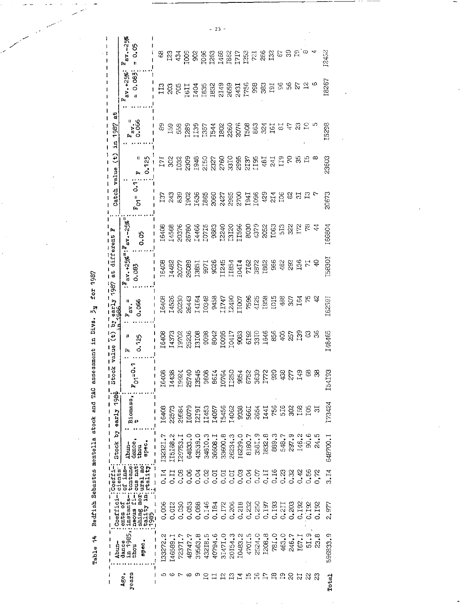Table 14 Redfish Sebastes mentella stock and TAC assessment in Divs. 3y for 1987

 $\overline{a}$ 

|                          | $-25%$                                                                                                                                                   |                         |                           |                  |                                                                                                                                                                                                                                                                                                     |         |         |                       |                                                                                                                                                                                                                                                                                                               |         |         |        |         |                                                                 |                |                  |               |                  |                 |       |               |
|--------------------------|----------------------------------------------------------------------------------------------------------------------------------------------------------|-------------------------|---------------------------|------------------|-----------------------------------------------------------------------------------------------------------------------------------------------------------------------------------------------------------------------------------------------------------------------------------------------------|---------|---------|-----------------------|---------------------------------------------------------------------------------------------------------------------------------------------------------------------------------------------------------------------------------------------------------------------------------------------------------------|---------|---------|--------|---------|-----------------------------------------------------------------|----------------|------------------|---------------|------------------|-----------------|-------|---------------|
|                          | <b>်</b><br>ដូ<br>Ħ<br>Ļ.                                                                                                                                | 8                       | $\mathbb{Z}$ $\mathbb{Z}$ |                  |                                                                                                                                                                                                                                                                                                     |         |         |                       |                                                                                                                                                                                                                                                                                                               |         |         |        |         |                                                                 |                | S                |               |                  | Ю               |       | 12452         |
|                          | 0.083<br>$+25%$<br>ă<br>r,                                                                                                                               | $\overline{113}$        |                           |                  |                                                                                                                                                                                                                                                                                                     |         |         |                       |                                                                                                                                                                                                                                                                                                               |         |         |        | 998     | ន្ល<br>ន                                                        |                | န္တ              |               | ξ,               | $\mathbf{r}$    | φ     | 18267         |
| ã<br>1987<br>ă,          | $F_{\text{av}}$ .<br>$0.066$                                                                                                                             | 89                      | E58                       |                  | [289]                                                                                                                                                                                                                                                                                               |         |         |                       | $\begin{array}{l} 139 \\ 1157 \\ 1544 \\ 1608 \\ 1608 \\ 1608 \\ 1608 \\ 1603 \\ 1603 \\ 1603 \\ 1603 \\ 1603 \\ 1603 \\ 1603 \\ 1603 \\ 1603 \\ 1603 \\ 1603 \\ 1603 \\ 1603 \\ 1603 \\ 1603 \\ 1603 \\ 1603 \\ 1603 \\ 1603 \\ 1603 \\ 1603 \\ 1603 \\ 1603 \\ 1603 \\ 1603 \\ 1603 \\ 1603 \\ 1603 \\ 160$ |         |         |        |         |                                                                 | 324<br>161     | ES               |               |                  |                 |       | I5298         |
| $\Theta$                 | Π<br>0.125<br>ſ.,                                                                                                                                        | 171                     | $\Im$                     |                  | 1032<br>2309                                                                                                                                                                                                                                                                                        |         |         |                       |                                                                                                                                                                                                                                                                                                               |         |         |        |         | $\overline{18}$                                                 | 241            | E1               |               |                  | ≌               | ∞     | 23603         |
| Catch value              | ွ<br>$\overline{\mathcal{S}}$<br>t.                                                                                                                      |                         |                           | ង ង ន<br>ដី ង និ | 1902<br>1636 060 060 1636<br>1842 2856 1641<br>1996 1642 1645                                                                                                                                                                                                                                       |         |         |                       |                                                                                                                                                                                                                                                                                                               |         |         |        |         | 429                                                             | $\overline{5}$ | ΙO <sub>θ</sub>  |               |                  |                 |       | 20673         |
| ٠,<br>different          | $-25%$<br>0.05<br>$\mathbf{a}$                                                                                                                           | <b>6408</b>             |                           |                  |                                                                                                                                                                                                                                                                                                     |         |         |                       |                                                                                                                                                                                                                                                                                                               |         |         |        |         | 8030<br>4379<br>5053<br>1063                                    |                | $\overline{513}$ |               | $\frac{22}{172}$ | <b>Pa</b><br>44 |       | I66804        |
| t)<br>Ø                  | av.+25% <sup>=: F</sup> .<br>0.083<br>þ.                                                                                                                 | <b>6408</b>             |                           |                  | 1482<br>2007: 2008<br>2008: 1385<br>2008: 1386<br>2008: 1387<br>2008: 1387<br>2008: 1387<br>1382<br>1382                                                                                                                                                                                            |         |         |                       |                                                                                                                                                                                                                                                                                                               |         |         |        |         |                                                                 | 966            | 462              | $58^{\circ}$  | 156              | 보               |       | <b>ID830I</b> |
| 1987                     | 0.066<br>$\vec{a}$<br>ſ.                                                                                                                                 | 16408                   |                           |                  | 14526<br>20230<br>20443<br>20343<br>2024<br>2025<br>2025<br>2025<br>2025<br>2025<br>2025                                                                                                                                                                                                            |         |         |                       |                                                                                                                                                                                                                                                                                                               |         |         |        |         | 7596<br>4125<br>1958                                            | <b>IOI5</b>    | 488              |               | $\frac{55}{64}$  |                 |       | I6259I        |
| £                        | 0.125<br>υ<br>۴,                                                                                                                                         |                         |                           |                  | $\begin{array}{l} 16408 \\ 14372 \\ 13783 \\ 15838 \\ 16988 \\ 16988 \\ 16988 \\ 16988 \\ 16988 \\ 16988 \\ 16988 \\ 16988 \\ 16988 \\ 16988 \\ 16988 \\ 16988 \\ 16988 \\ 16988 \\ 16988 \\ 16988 \\ 16988 \\ 16988 \\ 16988 \\ 16988 \\ 16988 \\ 16988 \\ 16988 \\ 16988 \\ 16988 \\ 16988 \\ 16$ |         |         |                       |                                                                                                                                                                                                                                                                                                               |         |         |        |         |                                                                 |                |                  |               | 139              |                 | 38    | 148465        |
| $\frac{1}{2}$ tock value | $\frac{1}{2}$<br>$F_{\mathcal{O}^+}$                                                                                                                     |                         |                           |                  | 16408<br>1438<br>19924<br>25740                                                                                                                                                                                                                                                                     |         |         | 13545<br>9608<br>8614 | <b>TO764</b>                                                                                                                                                                                                                                                                                                  |         |         |        |         | $\begin{array}{l} 1.750 \\ 9854 \\ 6752 \\ 3639 \\ \end{array}$ | 88             |                  | 377           | I49              | 8               | ೫     | ශී<br>1541    |
| Stock by early 1986      | Biomass,<br>t                                                                                                                                            | 1<br>16408              | 22573                     | 29584            | <b>L</b> ecsa                                                                                                                                                                                                                                                                                       | I2191   | II453   | I4057                 | 15456                                                                                                                                                                                                                                                                                                         | 14062   | 9938    | 566I   | 2654    | I441                                                            | 756            | 5I6              | g             | I58              | 30I             | ನ     | 173424        |
|                          | dance<br>Abun-<br>epec<br>thou                                                                                                                           | I3232I.7                | 115138.2                  | 129753.1         | 64833.0                                                                                                                                                                                                                                                                                             | 43539.0 | 34810.3 | 36608.I               | 33600.8                                                                                                                                                                                                                                                                                                       | 26234.3 | 16239.0 | 8180.7 | 358I.S  | 1832.8                                                          | 889.3          | 548.7            | 297.9         | 146.2            | 90.6            | 24.5  | 648700.1      |
| cients:<br>:Coeffi-      | tof ins-                                                                                                                                                 | 0.14                    | 0.11                      | ී. 08            | 0.06                                                                                                                                                                                                                                                                                                | 0.04    | ે.<br>ડ | ದ.<br>೧               | 0.01                                                                                                                                                                                                                                                                                                          | 0.01    | 0.03    | 0.04   | 0.07    | 0.11                                                            | 0.16           | $\frac{33}{5}$   | $\frac{5}{2}$ | 0.42             | 0.56            | 0, 72 | 3.14          |
| Coeffici<br>1            | $\frac{1}{2}$ ; instants = 'tentrane'<br>: neous f1 = ous nat:<br>: neous f1 = ous nat:<br>: tality in: ural mo:<br>: 1985 - - : itality = 'i<br>ents of | 0.006                   | 0.012                     | 0.030            | 0.053                                                                                                                                                                                                                                                                                               | 0.088   | 0.146   | 0.184                 | 0.172                                                                                                                                                                                                                                                                                                         | 0.206   | 0.218   | 0.232  | 0.250   | 0.197                                                           | 0.193          | 0.211            | 0.203         | 0.192            | 0.192           | 0.192 | 2.977         |
| -pm                      | in 1985,<br>dance<br>apec<br>thou                                                                                                                        | 133272.2<br>1<br>I<br>ľ | 146589.1                  | 72371.           | 48747.7                                                                                                                                                                                                                                                                                             | 33563.8 | 43218.5 | 40794.6               | 31471.0                                                                                                                                                                                                                                                                                                       | 20154.3 | 10483.2 | 4701.5 | 2524.0  | I208.8                                                          | 781.0          | 463.0            | 246.7         | 167.1            | 51.9            | 23.8  | 596833.9      |
|                          | years<br>Age,                                                                                                                                            | ı<br>J<br>ഗ<br>I        | ဖ                         | c                | œ                                                                                                                                                                                                                                                                                                   | တ       | 읍       | 冒                     |                                                                                                                                                                                                                                                                                                               | 227     |         | E5     | $^{16}$ | P                                                               | $\mathbb{E}$   | $\Xi$            | 8             | ನ                | $\approx$       | ని    | Totail        |

 $-23 -$ 

l,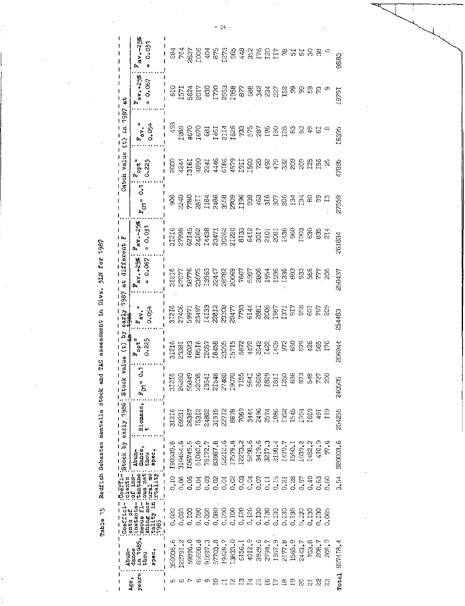Table 15 Redfish Sebastes mentella stock and TAC assessment in Dive. 3LM for 1987

 $\ddot{\phantom{0}}$ 

| I                        | I                                 | $\mathbf{I}$<br>$\frac{1}{1}$                                                                                                                                                                                                            |       |                                      |                 |                   |                                                             |                       |                             |                                                                        |                                     |                          |                           |                                                    |                           |
|--------------------------|-----------------------------------|------------------------------------------------------------------------------------------------------------------------------------------------------------------------------------------------------------------------------------------|-------|--------------------------------------|-----------------|-------------------|-------------------------------------------------------------|-----------------------|-----------------------------|------------------------------------------------------------------------|-------------------------------------|--------------------------|---------------------------|----------------------------------------------------|---------------------------|
|                          | -auda                             | Coeffici                                                                                                                                                                                                                                 |       | -:Coerfirigtook by early 1986; Stock |                 |                   | value (t) by                                                | 1987<br>early         | different<br>$\frac{1}{6}$  | լ բո                                                                   |                                     |                          | Catch value (t) in 1987   | $\frac{13}{4}$                                     |                           |
| years<br>Age,            | in 1985,<br>dance<br>apec.<br>uoq | The control of the control of the control of the control of the control of the control of the control of the control of the control of the control of the control of the control of the control of the control of the control<br>ents of |       | dance,<br>Abun-<br>epec.<br>thou     | Biomass,        | $\tilde{p}$<br>ſ. | $F_{\rm opt}$ =<br>0.225                                    | =<br>ស<br><b>0.0升</b> | av.+25%<br>0.067<br>ŋ<br>r. | $av - 256$<br>$= 0.031$<br>ſ.                                          | ິ<br>ວ<br>$\overline{\sigma}$<br>ſ. | 0.225<br>$F_{\rm opt}$ = | $F_{\text{av}} =$<br>大0.0 | $av_{1} + 25\%$<br>0.067<br>Ħ<br>Þ,                | $av - 258$<br>0.031<br>ſ. |
| ı<br>١<br>ഥ              | 1<br>350036.6<br>$\frac{1}{1}$    | 0.020                                                                                                                                                                                                                                    | 0,10  | 190339.8<br>$\frac{1}{1}$            | I<br>31216<br>t | 31216<br>ŧ        |                                                             | 31216                 |                             | 31216                                                                  | 906                                 | င္လ                      | 493                       |                                                    | 284                       |
| Φ                        | I22791.2                          | 0.060                                                                                                                                                                                                                                    | 0.08  | 310454.6                             | 69231           | 26260             | 31216<br>23381<br>46023<br>18157<br>18458<br>18715<br>15715 | 27406                 | 31216<br>27077              | 36642                                                                  | 2240                                |                          | [289]                     | 610<br>1571<br>5624                                | 764                       |
|                          | 59896.0                           | 0.IOO                                                                                                                                                                                                                                    | 0.06  | 106749.5                             | 26367           | 55849             |                                                             |                       |                             |                                                                        |                                     | $4244$<br>3161           |                           |                                                    |                           |
| ထ                        | 85608.8                           | 0.090                                                                                                                                                                                                                                    | 0.04  | 51040.0                              | T5312           | 22038             |                                                             |                       | 58776<br>23075<br>I3963     | 62I45<br>24262                                                         | 7780<br>2811<br>1184                | 4890                     | $\frac{4670}{1670}$       |                                                    | 7827<br>1006              |
| თ                        | 918973                            | 0.060                                                                                                                                                                                                                                    | 0.03  | 75172.7                              | 24882           | I354I             |                                                             |                       |                             | I4438                                                                  |                                     | 2241                     |                           |                                                    |                           |
| ຊ                        | 57703.8                           | 0.080                                                                                                                                                                                                                                    | 0.02  | 83987.8                              | 31915           | 21548             |                                                             |                       | 22447                       | 23471                                                                  | 2486                                | 4446                     | I46I<br>2114<br>I626      | $\begin{array}{c} 2017 \\ 830 \\ 1770 \end{array}$ | 4588                      |
| $\Xi$ $\Xi$              | 19428.7                           | 0.090                                                                                                                                                                                                                                    | 0.01  | 52212.6                              | 22712           | 27488             |                                                             |                       | 28782<br>20069              | 30262<br>21220                                                         | 3558                                | 9319                     |                           |                                                    |                           |
|                          | 13833.0                           | 0.100                                                                                                                                                                                                                                    | 0.02  | 17579.8                              | 8878            | <b>L9070</b>      |                                                             |                       |                             |                                                                        |                                     |                          |                           | 2553<br>1958<br>877                                |                           |
| $\Xi$                    | GI56.I                            | 0.120                                                                                                                                                                                                                                    | 0.03  | 12273.2                              | 7069            | 7155              | 5672<br>4472<br>4422<br>1422<br>1409                        |                       | 7607                        | $\begin{array}{l} 1012 \\ 2125 \\ 2101 \\ 2101 \\ 2101 \\ \end{array}$ | <b>LT96</b>                         | $\frac{4579}{11011}$     | 733                       |                                                    | 448                       |
| $\vec{z}$                | 4012.9                            | 0.120                                                                                                                                                                                                                                    | 0.04  | 5299.6                               | 3444            | 564I              |                                                             |                       |                             |                                                                        | 33                                  |                          | 575                       |                                                    | 352                       |
| 당                        | 3929.6                            | 0.130                                                                                                                                                                                                                                    | $0.0$ | 3419.6                               | 2496            | 2626              |                                                             |                       | 5997<br>2806                |                                                                        | 463                                 | $\approx$                |                           |                                                    | 176                       |
| ĩΰ                       | 2794.7                            | 0.130                                                                                                                                                                                                                                    | 0.11  | 3217.3                               | 2574            | I829              |                                                             |                       | <b>I954</b>                 |                                                                        | 316                                 | 492                      | 787<br>T96                |                                                    |                           |
| £,                       | 1957.9                            | 0.130                                                                                                                                                                                                                                    | 0.15  | 2198.4                               | 1886            | I8II              |                                                             |                       | I936                        | 208 <sub>I</sub>                                                       | $30^{\circ}$                        | 479                      |                           | <b>883568</b>                                      | 120<br>117                |
| $_{\rm 18}$              | 2177.8                            | 0.130                                                                                                                                                                                                                                    | 0.21  | 1479.7                               | I352            | <b>I250</b>       | 972<br>650                                                  | <b>1371</b><br>917    | I336                        | I <sub>436</sub>                                                       | 206                                 | $\mathbb{S}^2$           | BS 28                     |                                                    | $\mathcal{S}$             |
| Γ9                       | 1565.9                            | 0.130                                                                                                                                                                                                                                    | 0.28  | I550.I                               | I545            | 836               |                                                             |                       | 893                         | 960                                                                    | 134<br>134                          | 209                      | 83                        | F.                                                 |                           |
| S.                       | 2443.7                            | 0.130                                                                                                                                                                                                                                    | 0,37  | LC39.2                               | I094            | 873               | 679                                                         | 958                   | 933                         | 1003                                                                   |                                     | 80S                      | $\mathbb{S}$              | င္တ                                                | 55<br>15                  |
| $\overline{\mathcal{S}}$ | <b>703.8</b>                      | 0.130                                                                                                                                                                                                                                    | 0.49  | 1482.2                               | I669            | 548               | 426                                                         | ECT                   | 586                         | 630                                                                    | 8                                   | ន្ទ                      | 55                        | ္တ                                                 |                           |
| $\mathcal{R}$            | 208.7                             | 0.130                                                                                                                                                                                                                                    | 0.63  | 410.9                                | $\overline{16}$ | $\tilde{\kappa}$  | 565                                                         | ೯ ನಿ                  | 777                         | $rac{35}{214}$                                                         | 8<br>13                             | $^{15}$                  |                           |                                                    | 8                         |
| g                        | 306.9                             | 0.065                                                                                                                                                                                                                                    | 0.80  | 97.6                                 | $\frac{1}{2}$   | SSC               | I <sub>76</sub>                                             |                       | 206                         |                                                                        |                                     | R,                       | œ                         |                                                    |                           |
|                          | Total 827418.4                    |                                                                                                                                                                                                                                          | 3.54  | 920003.6                             | 254255          | 240505            | 206944                                                      | 254483                | 250437                      | 261834                                                                 | 27559                               | 47895                    | I6395                     | I879I                                              | 9883                      |

 $-24-$ 

÷,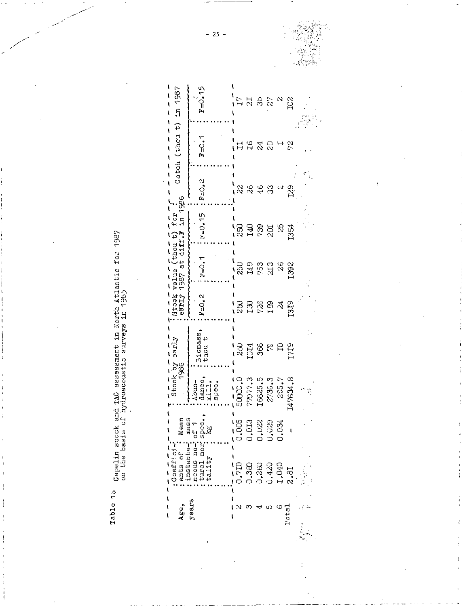Capelin stock and TAC assessment in North Atlantic for 1987<br>on the basis of hydroacoustic surveys in 1985 Table 16

| Catch (thou t) in 1987                                      | $F = 0.15$                                                                      | Γ7                                                                      |                      | $\begin{array}{c} 7.76 \\ 7.76 \\ 7.76 \\ 7.76 \\ 7.76 \\ 7.76 \\ 7.76 \\ 7.76 \\ 7.76 \\ 7.76 \\ 7.76 \\ 7.76 \\ 7.76 \\ 7.76 \\ 7.76 \\ 7.76 \\ 7.76 \\ 7.76 \\ 7.76 \\ 7.76 \\ 7.76 \\ 7.76 \\ 7.76 \\ 7.76 \\ 7.76 \\ 7.76 \\ 7.76 \\ 7.76 \\ 7.76 \\ 7.76 \\ 7.76 \\ 7.76 \\ 7.76 \\ 7.76 \\ 7.76 \\ 7.$ |       |                     | $\tilde{p}$   |    |
|-------------------------------------------------------------|---------------------------------------------------------------------------------|-------------------------------------------------------------------------|----------------------|---------------------------------------------------------------------------------------------------------------------------------------------------------------------------------------------------------------------------------------------------------------------------------------------------------------|-------|---------------------|---------------|----|
|                                                             | $F = 0.1$                                                                       |                                                                         | 11 2 2<br>1 2 3 2    |                                                                                                                                                                                                                                                                                                               |       |                     | $\frac{1}{2}$ |    |
|                                                             | $2.0 - 1.1$                                                                     | $\approx$                                                               |                      | $\begin{smallmatrix} 0 & 0 \\ 4 & 3 \end{smallmatrix}$                                                                                                                                                                                                                                                        |       |                     | ು<br>22<br>12 |    |
| value (thou t) for $\frac{1}{2}$<br>1987 at diff, F in 1986 | $F = 0.15$                                                                      |                                                                         | នេ<br>ខេមុនដូន<br>ខេ |                                                                                                                                                                                                                                                                                                               |       |                     |               |    |
|                                                             | $P = O$ . 1                                                                     | 1875388                                                                 |                      |                                                                                                                                                                                                                                                                                                               |       |                     |               |    |
| Stock<br>early                                              | $F=O_4Z$                                                                        | នេ<br>នេដ្ឋ និង ដូ                                                      |                      |                                                                                                                                                                                                                                                                                                               |       |                     |               |    |
| Stock by early                                              | Biomass<br>thou t                                                               | នេដ្ឋ ខេត្ត<br>ខេត្ត<br>ខេត្ត                                           |                      |                                                                                                                                                                                                                                                                                                               |       |                     |               |    |
|                                                             | Abun-<br>dance,<br>mill,<br>spec.                                               | 5000.0                                                                  | 77977.3              | 16625.5                                                                                                                                                                                                                                                                                                       |       | $2736.3$<br>$295.7$ | 147634.8      | 修复 |
|                                                             | ents of : Mean<br>: instanta-: Mean<br>: neous na-: of 1<br>: tural mor: spec., | $\begin{array}{r} \n 18883 \\  199230 \\  19920 \\  1990\n \end{array}$ |                      |                                                                                                                                                                                                                                                                                                               |       |                     |               |    |
| : Coeffici-<br>ents of                                      | 311t                                                                            |                                                                         | ອ<br>ວ               | 0.260                                                                                                                                                                                                                                                                                                         | 0.420 | 1,040               | 2.81          |    |
| Age.                                                        | years                                                                           |                                                                         |                      |                                                                                                                                                                                                                                                                                                               |       | ယ                   | Total         |    |

 $-25 -$ 

Í.

 $\mathbf{I}$ 

 $\frac{1}{4}$ 

 $\frac{1}{2}$ 

ŧ

 $\vdots$ 

 $\mathbb{R}^3$ 

 $\hat{\boldsymbol{\phi}}_{\perp, \vec{m}_i}$ k.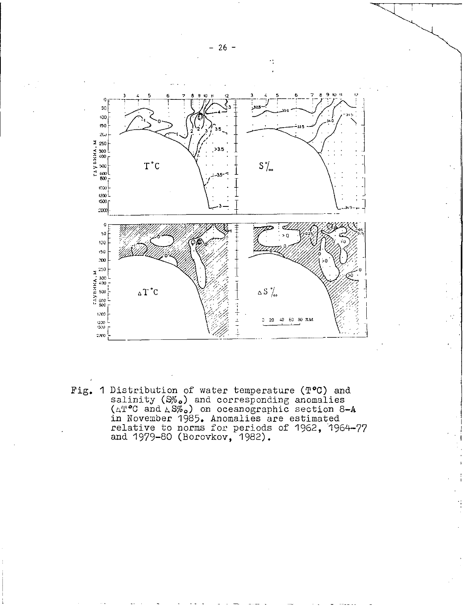

Fig. 1 Distribution of water temperature (T°0) and salinity *(Wo <sup>o</sup> )* and corresponding anomalies ( $\wedge$ T $^{\circ}$ C and  $\wedge$ S $\%$ .) on oceanographic section 8-A in November 1985. Anomalies are estimated relative to norms for periods of 1962, 1964-77 and 1979-80 (Borovkov, 1982).

 $- 26 -$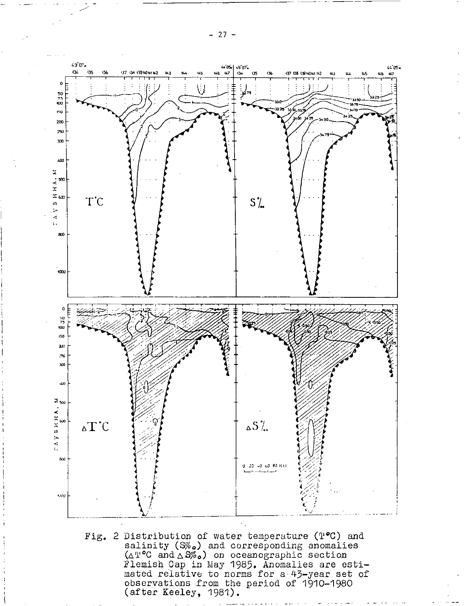$- 27 -$ 



Fig. 2 Distribution of water temperature ( $P^{\bullet}C$ ) and salinity (S $\%$ .) and corresponding anomalies  $(\Delta T^{\circ}C$  and  $\Delta S\%$ .) on oceanographic section Flemish Cap in May 1985. Anomalies are estimated relative to norms for a 43-year set of observations from the period of 1910-1980 (after Keeley, 1981).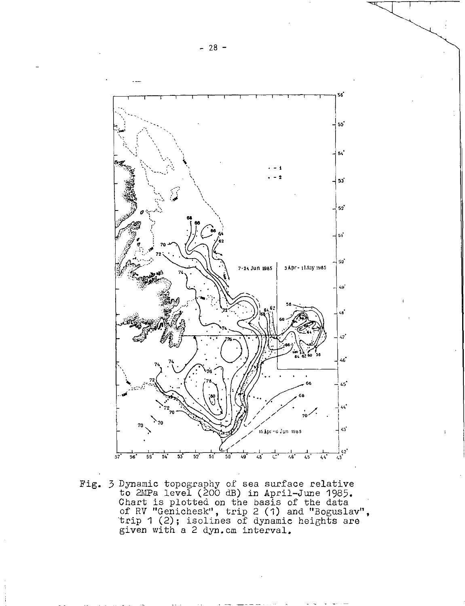

Fig. 3 Dynamic topography of sea surface relative to 2IUPa level (200 dB) in April—June 1985. Chart is plotted on the basis of the data of RV "Genichesk", trip 2 (1) and "Boguslav", trip 1 (2); isolines of dynamic heights are given with a 2 dyn.cm interval.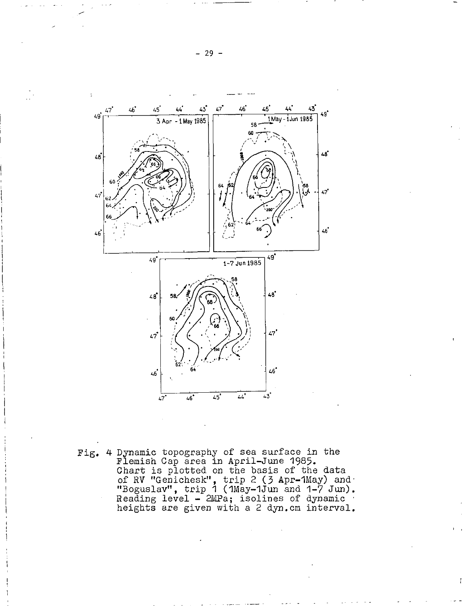

Fig. 4 Dynamic topography of sea surface in the Flemish Cap area in April-June 1985. Chart is plotted on the basis of the data of RV "Genichesk", trip 2 (3 Apr-lMay) and "Boguslav", trip 1 (1May-1Jun and 1-7 Jun). Reading level – 2MPa; isolines of dynamic heights are given with a 2 dyn.cm interval.

ŧ

— 29 —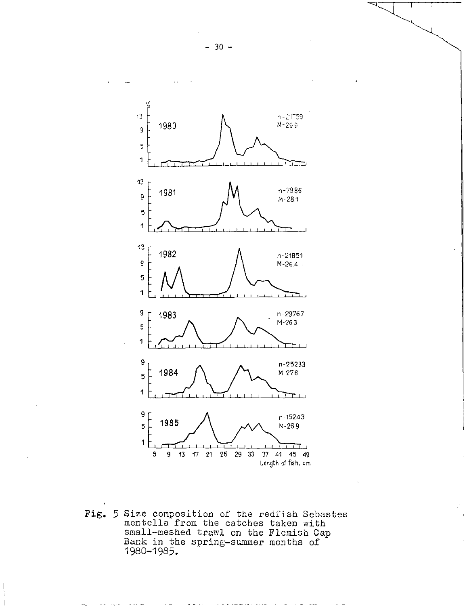$-30 -$ 



Fig. 5 Size composition of the redfish Sebastes mentella from the catches taken with small—meshed trawl on the Flemish Cap Bank in the spring—summer months of 1980-1985.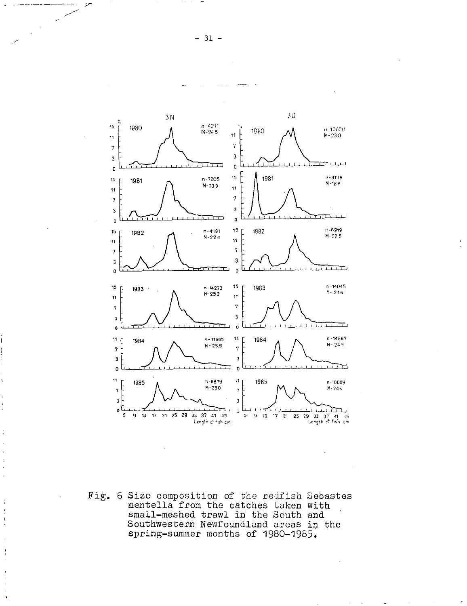

Fig. 6 Size composition of the redfish Sebastes mentella from the catches taken with small-meshed trawl in the South and Southwestern Newfoundland areas in the spring-summer months of 1980-1985.

 $\frac{1}{2}$